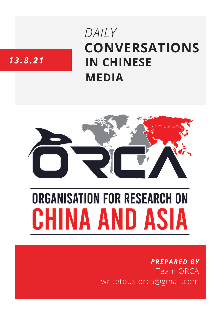# **CONVERSATIONS IN CHINESE MEDIA** *DAILY*

# *13.8.21*



# **ORGANISATION FOR RESEARCH ON** HINA AND ASIA

## *PREPARED BY* Team ORCA writetous.orca@gmail.com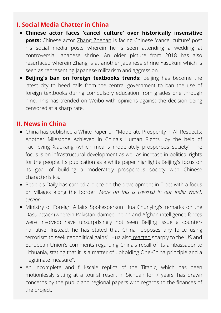#### **I. Social Media Chatter in China**

- **Chinese actor faces 'cancel culture' over historically insensitive posts:** Chinese actor Zhang [Zhehan](https://www.whatsonweibo.com/i-deeply-love-my-motherland-chinese-actor-zhang-zhehan-under-fire-for-yasukuni-and-nogi-shrine-photos/) is facing Chinese 'cancel culture' post his social media posts wherein he is seen attending a wedding at controversial Japanese shrine. An older picture from 2018 has also resurfaced wherein Zhang is at another Japanese shrine Yasukuni which is seen as representing Japanese militarism and aggression.
- **Beijing's ban on foreign textbooks trends:** Beijing has become the latest city to heed calls from the central government to ban the use of foreign textbooks during compulsory education from grades one through nine. This has trended on Weibo with opinions against the decision being censored at a sharp rate.

#### **II. News in China**

- China has [published](http://www.news.cn/english/2021-08/12/c_1310122600.htm) a White Paper on "Moderate Prosperity in All Respects: Another Milestone Achieved in China's Human Rights" by the help of achieving Xiaokang (which means moderately prosperous society). The focus is on infrastructural development as well as increase in political rights for the people. Its publication as a white paper highlights Beijing's focus on its goal of building a moderately prosperous society with Chinese characteristics.
- People's Daily has carried a [piece](http://paper.people.com.cn/rmrb/html/2021-08/13/nw.D110000renmrb_20210813_6-01.htm) on the development in Tibet with a focus on villages along the border. *More on this is covered in our India Watch section.*
- Ministry of Foreign Affairs Spokesperson Hua Chunying's remarks on the Dasu attack (wherein Pakistan claimed Indian and Afghan intelligence forces were involved) have unsurprisingly not seen Beijing issue a counternarrative. Instead, he has stated that China "opposes any force using terrorism to seek geopolitical gains". Hua also [reacted](http://www.81.cn/fb/2021-08/13/content_10075572.htm) sharply to the US and European Union's comments regarding China's recall of its ambassador to Lithuania, stating that it is a matter of upholding One-China principle and a "legitimate measure".
- An incomplete and full-scale replica of the Titanic, which has been motionlessly sitting at a tourist resort in Sichuan for 7 years, has drawn [concerns](https://www.sixthtone.com/features/26291/DailyTones) by the public and regional papers with regards to the finances of the project.